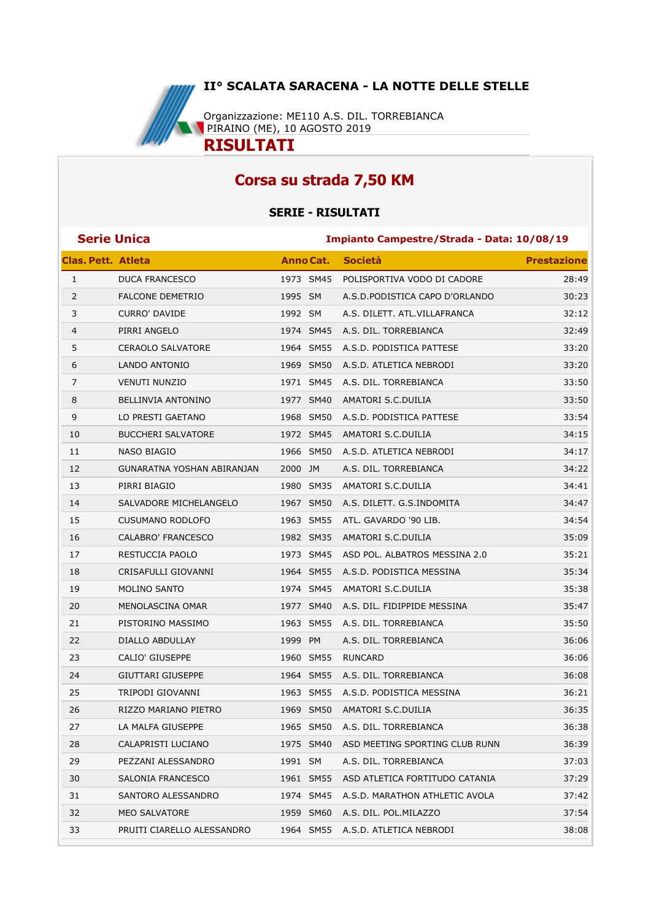

## **Corsa su strada 7,50 KM**

## **SERIE - RISULTATI**

| <b>Serie Unica</b>        |                            |                  | Impianto Campestre/Strada - Data: 10/08/19 |                                 |                    |  |
|---------------------------|----------------------------|------------------|--------------------------------------------|---------------------------------|--------------------|--|
| <b>Clas. Pett. Atleta</b> |                            | <b>Anno Cat.</b> |                                            | <b>Società</b>                  | <b>Prestazione</b> |  |
| $\mathbf{1}$              | <b>DUCA FRANCESCO</b>      | 1973 SM45        |                                            | POLISPORTIVA VODO DI CADORE     | 28:49              |  |
| $\overline{2}$            | <b>FALCONE DEMETRIO</b>    | 1995 SM          |                                            | A.S.D. PODISTICA CAPO D'ORLANDO | 30:23              |  |
| 3                         | <b>CURRO' DAVIDE</b>       | 1992 SM          |                                            | A.S. DILETT. ATL.VILLAFRANCA    | 32:12              |  |
| 4                         | PIRRI ANGELO               | 1974 SM45        |                                            | A.S. DIL. TORREBIANCA           | 32:49              |  |
| 5                         | <b>CERAOLO SALVATORE</b>   | 1964 SM55        |                                            | A.S.D. PODISTICA PATTESE        | 33:20              |  |
| 6                         | LANDO ANTONIO              | 1969 SM50        |                                            | A.S.D. ATLETICA NEBRODI         | 33:20              |  |
| 7                         | <b>VENUTI NUNZIO</b>       | 1971 SM45        |                                            | A.S. DIL. TORREBIANCA           | 33:50              |  |
| 8                         | BELLINVIA ANTONINO         | 1977 SM40        |                                            | AMATORI S.C.DUILIA              | 33:50              |  |
| 9                         | LO PRESTI GAETANO          | 1968 SM50        |                                            | A.S.D. PODISTICA PATTESE        | 33:54              |  |
| 10                        | <b>BUCCHERI SALVATORE</b>  | 1972 SM45        |                                            | AMATORI S.C.DUILIA              | 34:15              |  |
| 11                        | NASO BIAGIO                | 1966 SM50        |                                            | A.S.D. ATLETICA NEBRODI         | 34:17              |  |
| 12                        | GUNARATNA YOSHAN ABIRANJAN | 2000 JM          |                                            | A.S. DIL. TORREBIANCA           | 34:22              |  |
| 13                        | PIRRI BIAGIO               | 1980 SM35        |                                            | AMATORI S.C.DUILIA              | 34:41              |  |
| 14                        | SALVADORE MICHELANGELO     | 1967 SM50        |                                            | A.S. DILETT. G.S.INDOMITA       | 34:47              |  |
| 15                        | <b>CUSUMANO RODLOFO</b>    | 1963 SM55        |                                            | ATL. GAVARDO '90 LIB.           | 34:54              |  |
| 16                        | CALABRO' FRANCESCO         | 1982 SM35        |                                            | AMATORI S.C.DUILIA              | 35:09              |  |
| 17                        | RESTUCCIA PAOLO            | 1973 SM45        |                                            | ASD POL. ALBATROS MESSINA 2.0   | 35:21              |  |
| 18                        | CRISAFULLI GIOVANNI        | 1964 SM55        |                                            | A.S.D. PODISTICA MESSINA        | 35:34              |  |
| 19                        | <b>MOLINO SANTO</b>        | 1974 SM45        |                                            | AMATORI S.C.DUILIA              | 35:38              |  |
| 20                        | MENOLASCINA OMAR           | 1977 SM40        |                                            | A.S. DIL. FIDIPPIDE MESSINA     | 35:47              |  |
| 21                        | PISTORINO MASSIMO          | 1963 SM55        |                                            | A.S. DIL. TORREBIANCA           | 35:50              |  |
| 22                        | DIALLO ABDULLAY            | 1999 PM          |                                            | A.S. DIL. TORREBIANCA           | 36:06              |  |
| 23                        | <b>CALIO' GIUSEPPE</b>     | 1960 SM55        |                                            | <b>RUNCARD</b>                  | 36:06              |  |
| 24                        | GIUTTARI GIUSEPPE          | 1964 SM55        |                                            | A.S. DIL. TORREBIANCA           | 36:08              |  |
| 25                        | TRIPODI GIOVANNI           | 1963 SM55        |                                            | A.S.D. PODISTICA MESSINA        | 36:21              |  |
| 26                        | RIZZO MARIANO PIETRO       | 1969 SM50        |                                            | AMATORI S.C.DUILIA              | 36:35              |  |
| 27                        | LA MALFA GIUSEPPE          | 1965 SM50        |                                            | A.S. DIL. TORREBIANCA           | 36:38              |  |
| 28                        | CALAPRISTI LUCIANO         | 1975 SM40        |                                            | ASD MEETING SPORTING CLUB RUNN  | 36:39              |  |
| 29                        | PEZZANI ALESSANDRO         | 1991 SM          |                                            | A.S. DIL. TORREBIANCA           | 37:03              |  |
| 30                        | SALONIA FRANCESCO          | 1961 SM55        |                                            | ASD ATLETICA FORTITUDO CATANIA  | 37:29              |  |
| 31                        | SANTORO ALESSANDRO         | 1974 SM45        |                                            | A.S.D. MARATHON ATHLETIC AVOLA  | 37:42              |  |
| 32                        | <b>MEO SALVATORE</b>       | 1959 SM60        |                                            | A.S. DIL. POL.MILAZZO           | 37:54              |  |
| 33                        | PRUITI CIARELLO ALESSANDRO | 1964 SM55        |                                            | A.S.D. ATLETICA NEBRODI         | 38:08              |  |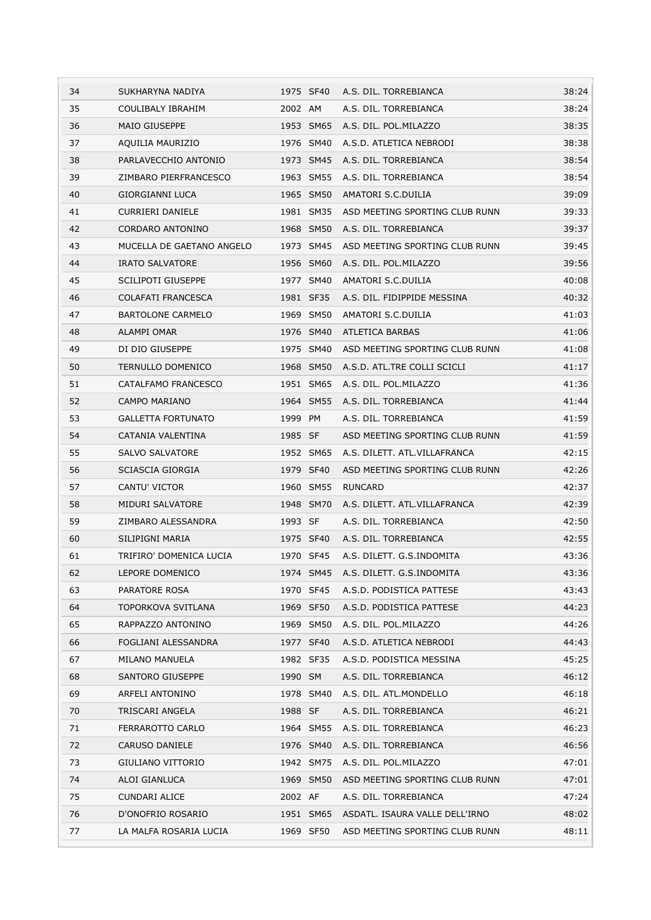| 34 | SUKHARYNA NADIYA          |           | 1975 SF40 A.S. DIL. TORREBIANCA     | 38:24 |
|----|---------------------------|-----------|-------------------------------------|-------|
| 35 | COULIBALY IBRAHIM         | 2002 AM   | A.S. DIL. TORREBIANCA               | 38:24 |
| 36 | <b>MAIO GIUSEPPE</b>      | 1953 SM65 | A.S. DIL. POL.MILAZZO               | 38:35 |
| 37 | AQUILIA MAURIZIO          | 1976 SM40 | A.S.D. ATLETICA NEBRODI             | 38:38 |
| 38 | PARLAVECCHIO ANTONIO      | 1973 SM45 | A.S. DIL. TORREBIANCA               | 38:54 |
| 39 | ZIMBARO PIERFRANCESCO     | 1963 SM55 | A.S. DIL. TORREBIANCA               | 38:54 |
| 40 | <b>GIORGIANNI LUCA</b>    | 1965 SM50 | AMATORI S.C.DUILIA                  | 39:09 |
| 41 | <b>CURRIERI DANIELE</b>   | 1981 SM35 | ASD MEETING SPORTING CLUB RUNN      | 39:33 |
| 42 | CORDARO ANTONINO          | 1968 SM50 | A.S. DIL. TORREBIANCA               | 39:37 |
| 43 | MUCELLA DE GAETANO ANGELO | 1973 SM45 | ASD MEETING SPORTING CLUB RUNN      | 39:45 |
| 44 | <b>IRATO SALVATORE</b>    | 1956 SM60 | A.S. DIL. POL.MILAZZO               | 39:56 |
| 45 | <b>SCILIPOTI GIUSEPPE</b> | 1977 SM40 | AMATORI S.C.DUILIA                  | 40:08 |
| 46 | COLAFATI FRANCESCA        | 1981 SF35 | A.S. DIL. FIDIPPIDE MESSINA         | 40:32 |
| 47 | <b>BARTOLONE CARMELO</b>  | 1969 SM50 | AMATORI S.C.DUILIA                  | 41:03 |
| 48 | <b>ALAMPI OMAR</b>        | 1976 SM40 | <b>ATLETICA BARBAS</b>              | 41:06 |
| 49 | DI DIO GIUSEPPE           | 1975 SM40 | ASD MEETING SPORTING CLUB RUNN      | 41:08 |
| 50 | TERNULLO DOMENICO         | 1968 SM50 | A.S.D. ATL.TRE COLLI SCICLI         | 41:17 |
| 51 | CATALFAMO FRANCESCO       | 1951 SM65 | A.S. DIL. POL.MILAZZO               | 41:36 |
| 52 | CAMPO MARIANO             | 1964 SM55 | A.S. DIL. TORREBIANCA               | 41:44 |
| 53 | <b>GALLETTA FORTUNATO</b> | 1999 PM   | A.S. DIL. TORREBIANCA               | 41:59 |
| 54 | CATANIA VALENTINA         | 1985 SF   | ASD MEETING SPORTING CLUB RUNN      | 41:59 |
| 55 | <b>SALVO SALVATORE</b>    | 1952 SM65 | A.S. DILETT. ATL.VILLAFRANCA        | 42:15 |
| 56 | SCIASCIA GIORGIA          | 1979 SF40 | ASD MEETING SPORTING CLUB RUNN      | 42:26 |
| 57 | CANTU' VICTOR             | 1960 SM55 | RUNCARD                             | 42:37 |
| 58 | MIDURI SALVATORE          | 1948 SM70 | A.S. DILETT. ATL.VILLAFRANCA        | 42:39 |
| 59 | ZIMBARO ALESSANDRA        | 1993 SF   | A.S. DIL. TORREBIANCA               | 42:50 |
| 60 | SILIPIGNI MARIA           | 1975 SF40 | A.S. DIL. TORREBIANCA               | 42:55 |
| 61 | TRIFIRO' DOMENICA LUCIA   | 1970 SF45 | A.S. DILETT. G.S.INDOMITA           | 43:36 |
| 62 | LEPORE DOMENICO           |           | 1974 SM45 A.S. DILETT. G.S.INDOMITA | 43:36 |
| 63 | PARATORE ROSA             | 1970 SF45 | A.S.D. PODISTICA PATTESE            | 43:43 |
| 64 | TOPORKOVA SVITLANA        | 1969 SF50 | A.S.D. PODISTICA PATTESE            | 44:23 |
| 65 | RAPPAZZO ANTONINO         | 1969 SM50 | A.S. DIL. POL.MILAZZO               | 44:26 |
| 66 | FOGLIANI ALESSANDRA       | 1977 SF40 | A.S.D. ATLETICA NEBRODI             | 44:43 |
| 67 | MILANO MANUELA            | 1982 SF35 | A.S.D. PODISTICA MESSINA            | 45:25 |
| 68 | SANTORO GIUSEPPE          | 1990 SM   | A.S. DIL. TORREBIANCA               | 46:12 |
| 69 | ARFELI ANTONINO           | 1978 SM40 | A.S. DIL. ATL.MONDELLO              | 46:18 |
| 70 | <b>TRISCARI ANGELA</b>    | 1988 SF   | A.S. DIL. TORREBIANCA               | 46:21 |
| 71 | FERRAROTTO CARLO          | 1964 SM55 | A.S. DIL. TORREBIANCA               | 46:23 |
| 72 | CARUSO DANIELE            | 1976 SM40 | A.S. DIL. TORREBIANCA               | 46:56 |
| 73 | GIULIANO VITTORIO         | 1942 SM75 | A.S. DIL. POL.MILAZZO               | 47:01 |
| 74 | ALOI GIANLUCA             | 1969 SM50 | ASD MEETING SPORTING CLUB RUNN      | 47:01 |
| 75 | CUNDARI ALICE             | 2002 AF   | A.S. DIL. TORREBIANCA               | 47:24 |
| 76 | D'ONOFRIO ROSARIO         | 1951 SM65 | ASDATL. ISAURA VALLE DELL'IRNO      | 48:02 |
| 77 | LA MALFA ROSARIA LUCIA    | 1969 SF50 | ASD MEETING SPORTING CLUB RUNN      | 48:11 |